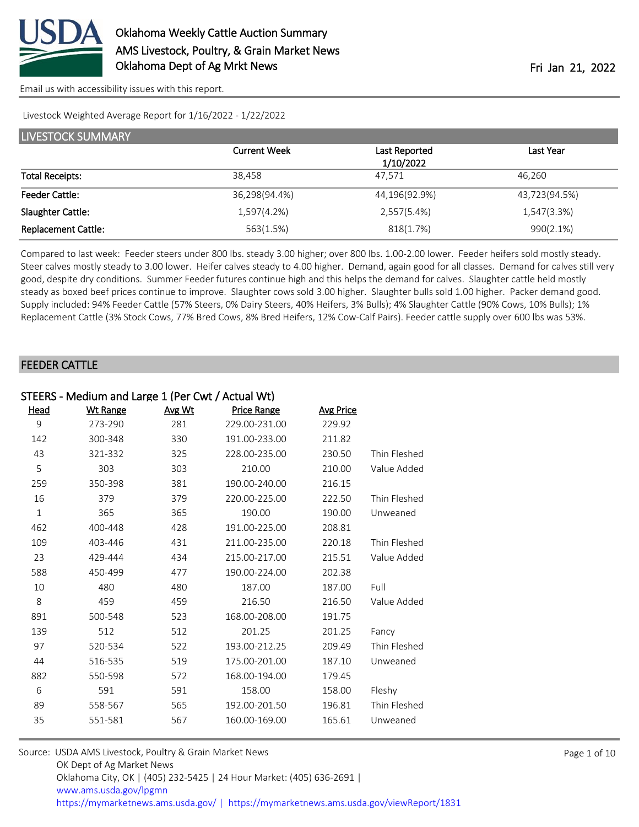

[Email us with accessibility issues with this report.](mailto:mars@ams.usda.gov?subject=508%20issue)

Livestock Weighted Average Report for 1/16/2022 - 1/22/2022

| LIVESTOCK SUMMARY          |                     |               |               |  |  |
|----------------------------|---------------------|---------------|---------------|--|--|
|                            | <b>Current Week</b> | Last Reported | Last Year     |  |  |
|                            |                     | 1/10/2022     |               |  |  |
| <b>Total Receipts:</b>     | 38,458              | 47,571        | 46,260        |  |  |
| <b>Feeder Cattle:</b>      | 36,298(94.4%)       | 44,196(92.9%) | 43,723(94.5%) |  |  |
| Slaughter Cattle:          | 1,597(4.2%)         | 2,557(5.4%)   | 1,547(3.3%)   |  |  |
| <b>Replacement Cattle:</b> | 563(1.5%)           | 818(1.7%)     | 990(2.1%)     |  |  |

Compared to last week: Feeder steers under 800 lbs. steady 3.00 higher; over 800 lbs. 1.00-2.00 lower. Feeder heifers sold mostly steady. Steer calves mostly steady to 3.00 lower. Heifer calves steady to 4.00 higher. Demand, again good for all classes. Demand for calves still very good, despite dry conditions. Summer Feeder futures continue high and this helps the demand for calves. Slaughter cattle held mostly steady as boxed beef prices continue to improve. Slaughter cows sold 3.00 higher. Slaughter bulls sold 1.00 higher. Packer demand good. Supply included: 94% Feeder Cattle (57% Steers, 0% Dairy Steers, 40% Heifers, 3% Bulls); 4% Slaughter Cattle (90% Cows, 10% Bulls); 1% Replacement Cattle (3% Stock Cows, 77% Bred Cows, 8% Bred Heifers, 12% Cow-Calf Pairs). Feeder cattle supply over 600 lbs was 53%.

#### FEEDER CATTLE

|              | STEERS - Medium and Large 1 (Per Cwt / Actual Wt) |        |               |                  |              |  |  |  |
|--------------|---------------------------------------------------|--------|---------------|------------------|--------------|--|--|--|
| Head         | <b>Wt Range</b>                                   | Avg Wt | Price Range   | <b>Avg Price</b> |              |  |  |  |
| 9            | 273-290                                           | 281    | 229.00-231.00 | 229.92           |              |  |  |  |
| 142          | 300-348                                           | 330    | 191.00-233.00 | 211.82           |              |  |  |  |
| 43           | 321-332                                           | 325    | 228.00-235.00 | 230.50           | Thin Fleshed |  |  |  |
| 5            | 303                                               | 303    | 210.00        | 210.00           | Value Added  |  |  |  |
| 259          | 350-398                                           | 381    | 190.00-240.00 | 216.15           |              |  |  |  |
| 16           | 379                                               | 379    | 220.00-225.00 | 222.50           | Thin Fleshed |  |  |  |
| $\mathbf{1}$ | 365                                               | 365    | 190.00        | 190.00           | Unweaned     |  |  |  |
| 462          | 400-448                                           | 428    | 191.00-225.00 | 208.81           |              |  |  |  |
| 109          | 403-446                                           | 431    | 211.00-235.00 | 220.18           | Thin Fleshed |  |  |  |
| 23           | 429-444                                           | 434    | 215.00-217.00 | 215.51           | Value Added  |  |  |  |
| 588          | 450-499                                           | 477    | 190.00-224.00 | 202.38           |              |  |  |  |
| 10           | 480                                               | 480    | 187.00        | 187.00           | Full         |  |  |  |
| 8            | 459                                               | 459    | 216.50        | 216.50           | Value Added  |  |  |  |
| 891          | 500-548                                           | 523    | 168.00-208.00 | 191.75           |              |  |  |  |
| 139          | 512                                               | 512    | 201.25        | 201.25           | Fancy        |  |  |  |
| 97           | 520-534                                           | 522    | 193.00-212.25 | 209.49           | Thin Fleshed |  |  |  |
| 44           | 516-535                                           | 519    | 175.00-201.00 | 187.10           | Unweaned     |  |  |  |
| 882          | 550-598                                           | 572    | 168.00-194.00 | 179.45           |              |  |  |  |
| 6            | 591                                               | 591    | 158.00        | 158.00           | Fleshy       |  |  |  |
| 89           | 558-567                                           | 565    | 192.00-201.50 | 196.81           | Thin Fleshed |  |  |  |
| 35           | 551-581                                           | 567    | 160.00-169.00 | 165.61           | Unweaned     |  |  |  |
|              |                                                   |        |               |                  |              |  |  |  |

| Source: USDA AMS Livestock, Poultry & Grain Market News                                |
|----------------------------------------------------------------------------------------|
| OK Dept of Ag Market News                                                              |
| Oklahoma City, OK   (405) 232-5425   24 Hour Market: (405) 636-2691                    |
| www.ams.usda.gov/lpgmn                                                                 |
| https://mymarketnews.ams.usda.gov/   https://mymarketnews.ams.usda.gov/viewReport/1831 |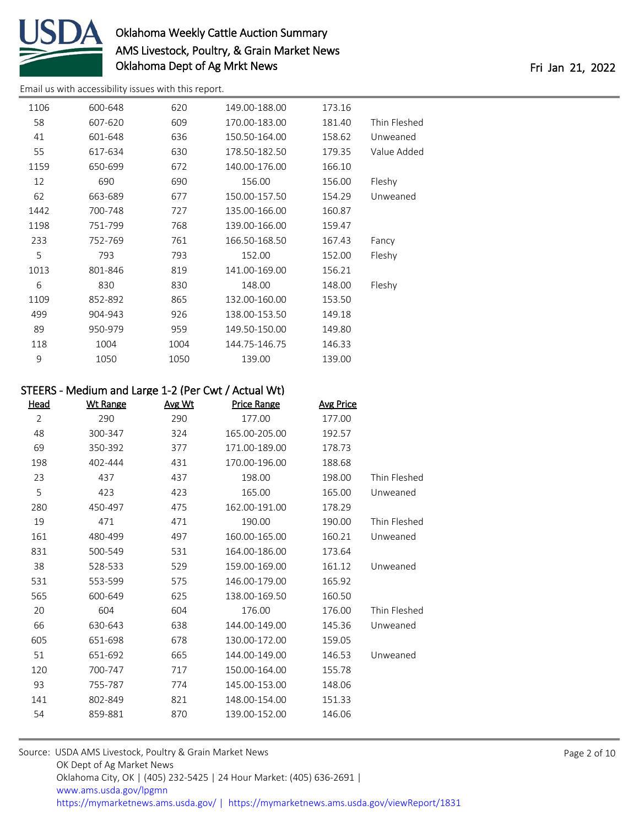

[Email us with accessibility issues with this report.](mailto:mars@ams.usda.gov?subject=508%20issue)

| 58   | 607-620 | 609  | 170.00-183.00 | 181.40 | Thin Fleshed |
|------|---------|------|---------------|--------|--------------|
| 41   | 601-648 | 636  | 150.50-164.00 | 158.62 | Unweaned     |
| 55   | 617-634 | 630  | 178.50-182.50 | 179.35 | Value Added  |
| 1159 | 650-699 | 672  | 140.00-176.00 | 166.10 |              |
| 12   | 690     | 690  | 156.00        | 156.00 | Fleshy       |
| 62   | 663-689 | 677  | 150.00-157.50 | 154.29 | Unweaned     |
| 1442 | 700-748 | 727  | 135.00-166.00 | 160.87 |              |
| 1198 | 751-799 | 768  | 139.00-166.00 | 159.47 |              |
| 233  | 752-769 | 761  | 166.50-168.50 | 167.43 | Fancy        |
| 5    | 793     | 793  | 152.00        | 152.00 | Fleshy       |
| 1013 | 801-846 | 819  | 141.00-169.00 | 156.21 |              |
| 6    | 830     | 830  | 148.00        | 148.00 | Fleshy       |
| 1109 | 852-892 | 865  | 132.00-160.00 | 153.50 |              |
| 499  | 904-943 | 926  | 138.00-153.50 | 149.18 |              |
| 89   | 950-979 | 959  | 149.50-150.00 | 149.80 |              |
| 118  | 1004    | 1004 | 144.75-146.75 | 146.33 |              |
| 9    | 1050    | 1050 | 139.00        | 139.00 |              |

#### STEERS - Medium and Large 1-2 (Per Cwt / Actual Wt)

| Head           | <b>Wt Range</b> | Avg Wt | <b>Price Range</b> | <b>Avg Price</b> |              |
|----------------|-----------------|--------|--------------------|------------------|--------------|
| $\overline{2}$ | 290             | 290    | 177.00             | 177.00           |              |
| 48             | 300-347         | 324    | 165.00-205.00      | 192.57           |              |
| 69             | 350-392         | 377    | 171.00-189.00      | 178.73           |              |
| 198            | 402-444         | 431    | 170.00-196.00      | 188.68           |              |
| 23             | 437             | 437    | 198.00             | 198.00           | Thin Fleshed |
| 5              | 423             | 423    | 165.00             | 165.00           | Unweaned     |
| 280            | 450-497         | 475    | 162.00-191.00      | 178.29           |              |
| 19             | 471             | 471    | 190.00             | 190.00           | Thin Fleshed |
| 161            | 480-499         | 497    | 160.00-165.00      | 160.21           | Unweaned     |
| 831            | 500-549         | 531    | 164.00-186.00      | 173.64           |              |
| 38             | 528-533         | 529    | 159.00-169.00      | 161.12           | Unweaned     |
| 531            | 553-599         | 575    | 146.00-179.00      | 165.92           |              |
| 565            | 600-649         | 625    | 138.00-169.50      | 160.50           |              |
| 20             | 604             | 604    | 176.00             | 176.00           | Thin Fleshed |
| 66             | 630-643         | 638    | 144.00-149.00      | 145.36           | Unweaned     |
| 605            | 651-698         | 678    | 130.00-172.00      | 159.05           |              |
| 51             | 651-692         | 665    | 144.00-149.00      | 146.53           | Unweaned     |
| 120            | 700-747         | 717    | 150.00-164.00      | 155.78           |              |
| 93             | 755-787         | 774    | 145.00-153.00      | 148.06           |              |
| 141            | 802-849         | 821    | 148.00-154.00      | 151.33           |              |
| 54             | 859-881         | 870    | 139.00-152.00      | 146.06           |              |
|                |                 |        |                    |                  |              |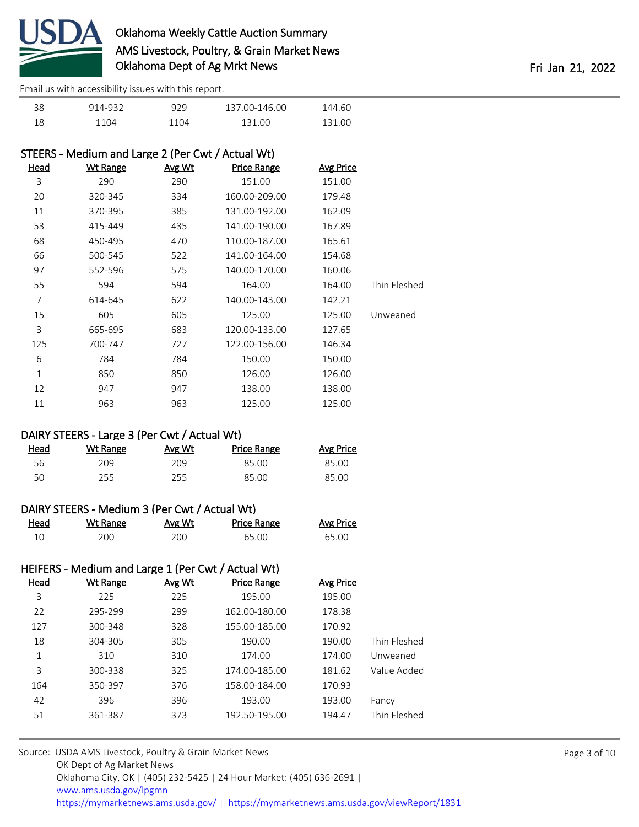

[Email us with accessibility issues with this report.](mailto:mars@ams.usda.gov?subject=508%20issue)

| 38 | 914-932 | 929  | 137.00-146.00 | 144.60 |
|----|---------|------|---------------|--------|
| 18 | 1104    | 1104 | 131 QQ        | 131.00 |

| STEERS - Medium and Large 2 (Per Cwt / Actual Wt) |                 |               |                    |                  |              |  |
|---------------------------------------------------|-----------------|---------------|--------------------|------------------|--------------|--|
| <b>Head</b>                                       | <b>Wt Range</b> | <u>Avg Wt</u> | <b>Price Range</b> | <b>Avg Price</b> |              |  |
| 3                                                 | 290             | 290           | 151.00             | 151.00           |              |  |
| 20                                                | 320-345         | 334           | 160.00-209.00      | 179.48           |              |  |
| 11                                                | 370-395         | 385           | 131.00-192.00      | 162.09           |              |  |
| 53                                                | 415-449         | 435           | 141.00-190.00      | 167.89           |              |  |
| 68                                                | 450-495         | 470           | 110.00-187.00      | 165.61           |              |  |
| 66                                                | 500-545         | 522           | 141.00-164.00      | 154.68           |              |  |
| 97                                                | 552-596         | 575           | 140.00-170.00      | 160.06           |              |  |
| 55                                                | 594             | 594           | 164.00             | 164.00           | Thin Fleshed |  |
| 7                                                 | 614-645         | 622           | 140.00-143.00      | 142.21           |              |  |
| 15                                                | 605             | 605           | 125.00             | 125.00           | Unweaned     |  |
| 3                                                 | 665-695         | 683           | 120.00-133.00      | 127.65           |              |  |
| 125                                               | 700-747         | 727           | 122.00-156.00      | 146.34           |              |  |
| 6                                                 | 784             | 784           | 150.00             | 150.00           |              |  |
| 1                                                 | 850             | 850           | 126.00             | 126.00           |              |  |
| 12                                                | 947             | 947           | 138.00             | 138.00           |              |  |
| 11                                                | 963             | 963           | 125.00             | 125.00           |              |  |

### DAIRY STEERS - Large 3 (Per Cwt / Actual Wt)

| <u>Head</u> | <u>Wt Range</u> | Avg Wt | <b>Price Range</b> | <b>Avg Price</b> |
|-------------|-----------------|--------|--------------------|------------------|
| 56          | 209.            | 209    | 85.00              | 85.00            |
| 50          | 255             | 255    | 85.00              | 85.00            |

### DAIRY STEERS - Medium 3 (Per Cwt / Actual Wt)

| Head | Wt Range | <b>Avg Wt</b> | <b>Price Range</b> | <b>Avg Price</b> |
|------|----------|---------------|--------------------|------------------|
|      | 200      | 200           | 65.00              | 65.00            |

|             | HEIFERS - Medium and Large 1 (Per Cwt / Actual Wt) |        |               |           |              |  |  |
|-------------|----------------------------------------------------|--------|---------------|-----------|--------------|--|--|
| <u>Head</u> | <b>Wt Range</b>                                    | Avg Wt | Price Range   | Avg Price |              |  |  |
| 3           | 225                                                | 225    | 195.00        | 195.00    |              |  |  |
| 22          | 295-299                                            | 299    | 162.00-180.00 | 178.38    |              |  |  |
| 127         | 300-348                                            | 328    | 155.00-185.00 | 170.92    |              |  |  |
| 18          | 304-305                                            | 305    | 190.00        | 190.00    | Thin Fleshed |  |  |
| 1           | 310                                                | 310    | 174.00        | 174.00    | Unweaned     |  |  |
| 3           | 300-338                                            | 325    | 174.00-185.00 | 181.62    | Value Added  |  |  |
| 164         | 350-397                                            | 376    | 158.00-184.00 | 170.93    |              |  |  |
| 42          | 396                                                | 396    | 193.00        | 193.00    | Fancy        |  |  |
| 51          | 361-387                                            | 373    | 192.50-195.00 | 194.47    | Thin Fleshed |  |  |
|             |                                                    |        |               |           |              |  |  |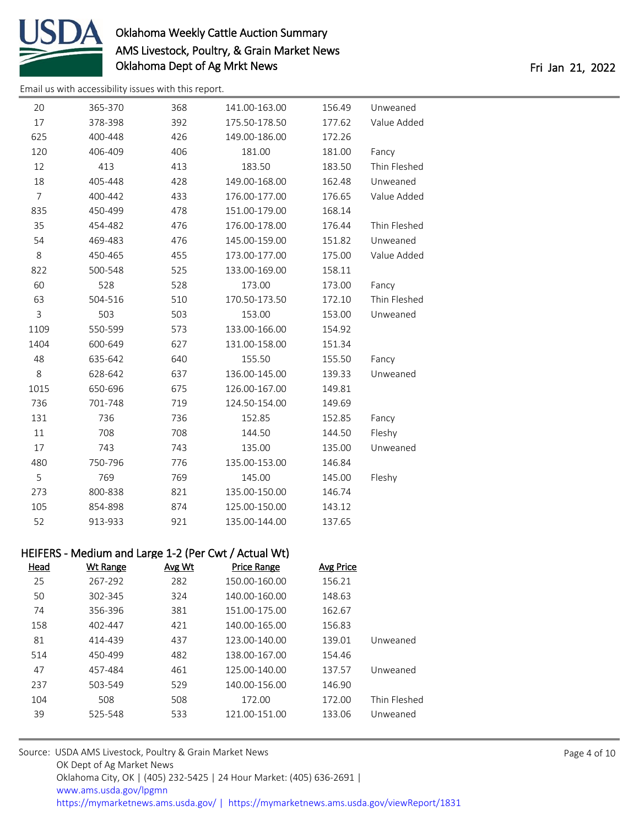

[Email us with accessibility issues with this report.](mailto:mars@ams.usda.gov?subject=508%20issue)

| 20             | 365-370                                              | 368 | 141.00-163.00      | 156.49           | Unweaned     |
|----------------|------------------------------------------------------|-----|--------------------|------------------|--------------|
| $17\,$         | 378-398                                              | 392 | 175.50-178.50      | 177.62           | Value Added  |
| 625            | 400-448                                              | 426 | 149.00-186.00      | 172.26           |              |
| 120            | 406-409                                              | 406 | 181.00             | 181.00           | Fancy        |
| 12             | 413                                                  | 413 | 183.50             | 183.50           | Thin Fleshed |
| 18             | 405-448                                              | 428 | 149.00-168.00      | 162.48           | Unweaned     |
| $\overline{7}$ | 400-442                                              | 433 | 176.00-177.00      | 176.65           | Value Added  |
| 835            | 450-499                                              | 478 | 151.00-179.00      | 168.14           |              |
| 35             | 454-482                                              | 476 | 176.00-178.00      | 176.44           | Thin Fleshed |
| 54             | 469-483                                              | 476 | 145.00-159.00      | 151.82           | Unweaned     |
| 8              | 450-465                                              | 455 | 173.00-177.00      | 175.00           | Value Added  |
| 822            | 500-548                                              | 525 | 133.00-169.00      | 158.11           |              |
| 60             | 528                                                  | 528 | 173.00             | 173.00           | Fancy        |
| 63             | 504-516                                              | 510 | 170.50-173.50      | 172.10           | Thin Fleshed |
| 3              | 503                                                  | 503 | 153.00             | 153.00           | Unweaned     |
| 1109           | 550-599                                              | 573 | 133.00-166.00      | 154.92           |              |
| 1404           | 600-649                                              | 627 | 131.00-158.00      | 151.34           |              |
| 48             | 635-642                                              | 640 | 155.50             | 155.50           | Fancy        |
| 8              | 628-642                                              | 637 | 136.00-145.00      | 139.33           | Unweaned     |
| 1015           | 650-696                                              | 675 | 126.00-167.00      | 149.81           |              |
| 736            | 701-748                                              | 719 | 124.50-154.00      | 149.69           |              |
| 131            | 736                                                  | 736 | 152.85             | 152.85           | Fancy        |
| 11             | 708                                                  | 708 | 144.50             | 144.50           | Fleshy       |
| 17             | 743                                                  | 743 | 135.00             | 135.00           | Unweaned     |
| 480            | 750-796                                              | 776 | 135.00-153.00      | 146.84           |              |
| 5              | 769                                                  | 769 | 145.00             | 145.00           | Fleshy       |
| 273            | 800-838                                              | 821 | 135.00-150.00      | 146.74           |              |
| 105            | 854-898                                              | 874 | 125.00-150.00      | 143.12           |              |
| 52             | 913-933                                              | 921 | 135.00-144.00      | 137.65           |              |
|                |                                                      |     |                    |                  |              |
|                | HEIFERS - Medium and Large 1-2 (Per Cwt / Actual Wt) |     |                    |                  |              |
| <u>Head</u>    | <b>Wt Range Lange Million</b>                        |     | <b>Price Range</b> | <b>Avg Price</b> |              |
| 25             | 267-292                                              | 282 | 150.00-160.00      | 156.21           |              |
| 50             | 302-345                                              | 324 | 140.00-160.00      | 148.63           |              |
| 74             | 356-396                                              | 381 | 151.00-175.00      | 162.67           |              |
| 158            | 402-447                                              | 421 | 140.00-165.00      | 156.83           |              |
| 81             | 414-439                                              | 437 | 123.00-140.00      | 139.01           | Unweaned     |
| 514            | 450-499                                              | 482 | 138.00-167.00      | 154.46           |              |
| 47             | 457-484                                              | 461 | 125.00-140.00      | 137.57           | Unweaned     |
| 237            | 503-549                                              | 529 | 140.00-156.00      | 146.90           |              |
| 104            | 508                                                  | 508 | 172.00             | 172.00           | Thin Fleshed |
| 39             | 525-548                                              | 533 | 121.00-151.00      | 133.06           | Unweaned     |
|                |                                                      |     |                    |                  |              |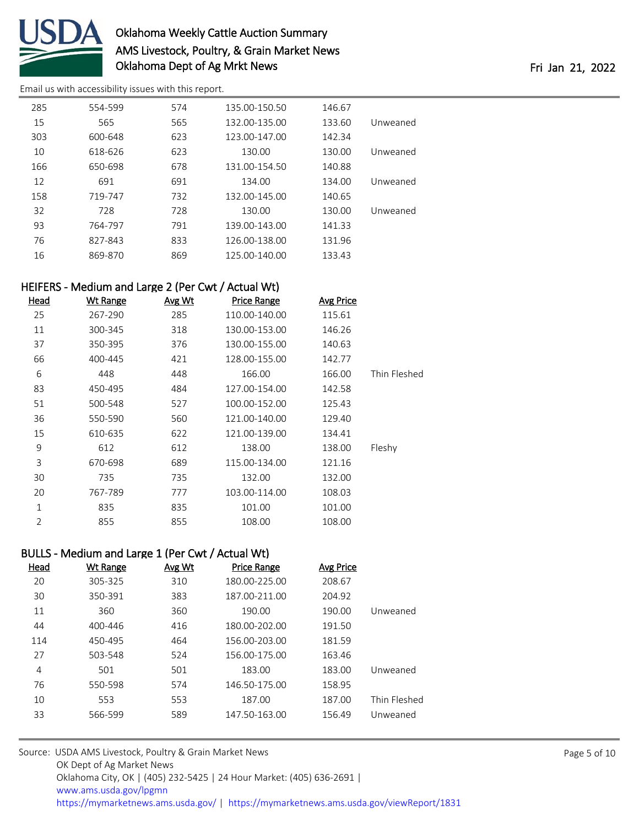

[Email us with accessibility issues with this report.](mailto:mars@ams.usda.gov?subject=508%20issue)

| 285 | 554-599 | 574 | 135.00-150.50 | 146.67 |          |
|-----|---------|-----|---------------|--------|----------|
| 15  | 565     | 565 | 132.00-135.00 | 133.60 | Unweaned |
| 303 | 600-648 | 623 | 123.00-147.00 | 142.34 |          |
| 10  | 618-626 | 623 | 130.00        | 130.00 | Unweaned |
| 166 | 650-698 | 678 | 131.00-154.50 | 140.88 |          |
| 12  | 691     | 691 | 134.00        | 134.00 | Unweaned |
| 158 | 719-747 | 732 | 132.00-145.00 | 140.65 |          |
| 32  | 728     | 728 | 130.00        | 130.00 | Unweaned |
| 93  | 764-797 | 791 | 139.00-143.00 | 141.33 |          |
| 76  | 827-843 | 833 | 126.00-138.00 | 131.96 |          |
| 16  | 869-870 | 869 | 125.00-140.00 | 133.43 |          |

#### HEIFERS - Medium and Large 2 (Per Cwt / Actual Wt)

| <u>Head</u>    | <b>Wt Range</b> | Avg Wt | <b>Price Range</b> | <b>Avg Price</b> |              |
|----------------|-----------------|--------|--------------------|------------------|--------------|
| 25             | 267-290         | 285    | 110.00-140.00      | 115.61           |              |
| 11             | 300-345         | 318    | 130.00-153.00      | 146.26           |              |
| 37             | 350-395         | 376    | 130.00-155.00      | 140.63           |              |
| 66             | 400-445         | 421    | 128.00-155.00      | 142.77           |              |
| 6              | 448             | 448    | 166.00             | 166.00           | Thin Fleshed |
| 83             | 450-495         | 484    | 127.00-154.00      | 142.58           |              |
| 51             | 500-548         | 527    | 100.00-152.00      | 125.43           |              |
| 36             | 550-590         | 560    | 121.00-140.00      | 129.40           |              |
| 15             | 610-635         | 622    | 121.00-139.00      | 134.41           |              |
| 9              | 612             | 612    | 138.00             | 138.00           | Fleshy       |
| 3              | 670-698         | 689    | 115.00-134.00      | 121.16           |              |
| 30             | 735             | 735    | 132.00             | 132.00           |              |
| 20             | 767-789         | 777    | 103.00-114.00      | 108.03           |              |
| 1              | 835             | 835    | 101.00             | 101.00           |              |
| $\overline{2}$ | 855             | 855    | 108.00             | 108.00           |              |

# BULLS - Medium and Large 1 (Per Cwt / Actual Wt)

| Head | Wt Range | Avg Wt | <b>Price Range</b> | <b>Avg Price</b> |              |
|------|----------|--------|--------------------|------------------|--------------|
| 20   | 305-325  | 310    | 180.00-225.00      | 208.67           |              |
| 30   | 350-391  | 383    | 187.00-211.00      | 204.92           |              |
| 11   | 360      | 360    | 190.00             | 190.00           | Unweaned     |
| 44   | 400-446  | 416    | 180.00-202.00      | 191.50           |              |
| 114  | 450-495  | 464    | 156.00-203.00      | 181.59           |              |
| 27   | 503-548  | 524    | 156.00-175.00      | 163.46           |              |
| 4    | 501      | 501    | 183.00             | 183.00           | Unweaned     |
| 76   | 550-598  | 574    | 146.50-175.00      | 158.95           |              |
| 10   | 553      | 553    | 187.00             | 187.00           | Thin Fleshed |
| 33   | 566-599  | 589    | 147.50-163.00      | 156.49           | Unweaned     |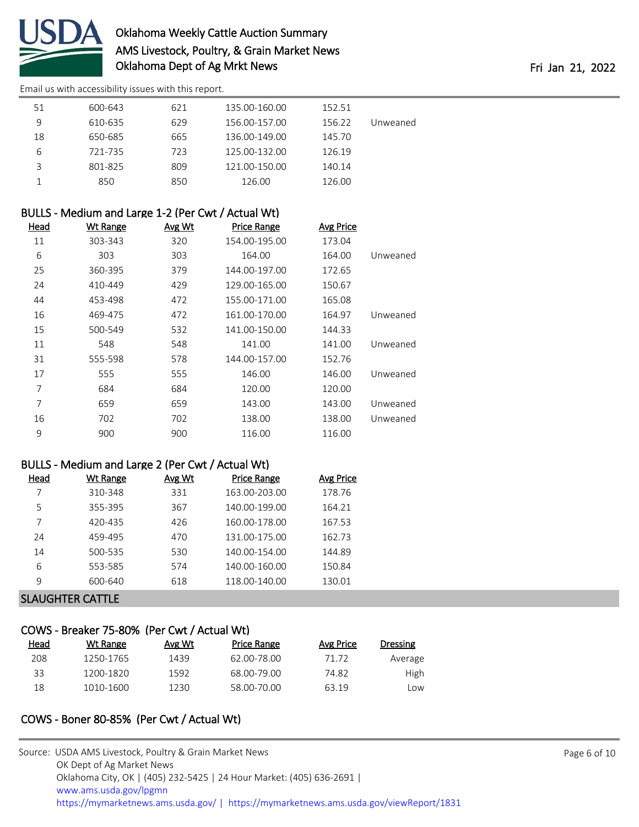

[Email us with accessibility issues with this report.](mailto:mars@ams.usda.gov?subject=508%20issue)

| 51 | 600-643 | 621 | 135.00-160.00 | 152.51 |          |
|----|---------|-----|---------------|--------|----------|
| 9  | 610-635 | 629 | 156.00-157.00 | 156.22 | Unweaned |
| 18 | 650-685 | 665 | 136.00-149.00 | 145.70 |          |
| b  | 721-735 | 723 | 125.00-132.00 | 126.19 |          |
| 3  | 801-825 | 809 | 121.00-150.00 | 140.14 |          |
|    | 850     | 850 | 126.00        | 126.00 |          |

### BULLS - Medium and Large 1-2 (Per Cwt / Actual Wt)

| <u>Head</u> | <b>Wt Range</b> | Avg Wt | <b>Price Range</b> | <b>Avg Price</b> |          |
|-------------|-----------------|--------|--------------------|------------------|----------|
| 11          | 303-343         | 320    | 154.00-195.00      | 173.04           |          |
| 6           | 303             | 303    | 164.00             | 164.00           | Unweaned |
| 25          | 360-395         | 379    | 144.00-197.00      | 172.65           |          |
| 24          | 410-449         | 429    | 129.00-165.00      | 150.67           |          |
| 44          | 453-498         | 472    | 155.00-171.00      | 165.08           |          |
| 16          | 469-475         | 472    | 161.00-170.00      | 164.97           | Unweaned |
| 15          | 500-549         | 532    | 141.00-150.00      | 144.33           |          |
| 11          | 548             | 548    | 141.00             | 141.00           | Unweaned |
| 31          | 555-598         | 578    | 144.00-157.00      | 152.76           |          |
| 17          | 555             | 555    | 146.00             | 146.00           | Unweaned |
| 7           | 684             | 684    | 120.00             | 120.00           |          |
| 7           | 659             | 659    | 143.00             | 143.00           | Unweaned |
| 16          | 702             | 702    | 138.00             | 138.00           | Unweaned |
| 9           | 900             | 900    | 116.00             | 116.00           |          |

### BULLS - Medium and Large 2 (Per Cwt / Actual Wt)

| Head | Wt Range | Avg Wt | <b>Price Range</b> | Avg Price |
|------|----------|--------|--------------------|-----------|
|      | 310-348  | 331    | 163.00-203.00      | 178.76    |
| 5    | 355-395  | 367    | 140.00-199.00      | 164.21    |
|      | 420-435  | 426    | 160.00-178.00      | 167.53    |
| 24   | 459-495  | 470    | 131.00-175.00      | 162.73    |
| 14   | 500-535  | 530    | 140.00-154.00      | 144.89    |
| 6    | 553-585  | 574    | 140.00-160.00      | 150.84    |
| 9    | 600-640  | 618    | 118.00-140.00      | 130.01    |
|      |          |        |                    |           |

#### SLAUGHTER CATTLE

# COWS - Breaker 75-80% (Per Cwt / Actual Wt)

| Wt Range  | Avg Wt | Price Range | Avg Price | Dressing |
|-----------|--------|-------------|-----------|----------|
| 1250-1765 | 1439   | 62.00-78.00 | 71.72     | Average  |
| 1200-1820 | 1592   | 68.00-79.00 | 74.82     | High     |
| 1010-1600 | 1230   | 58.00-70.00 | 63.19     | _OW      |
|           |        |             |           |          |

# COWS - Boner 80-85% (Per Cwt / Actual Wt)

| Source: USDA AMS Livestock, Poultry & Grain Market News                                |
|----------------------------------------------------------------------------------------|
| OK Dept of Ag Market News                                                              |
| Oklahoma City, OK   (405) 232-5425   24 Hour Market: (405) 636-2691                    |
| www.ams.usda.gov/lpgmn                                                                 |
| https://mymarketnews.ams.usda.gov/   https://mymarketnews.ams.usda.gov/viewReport/1831 |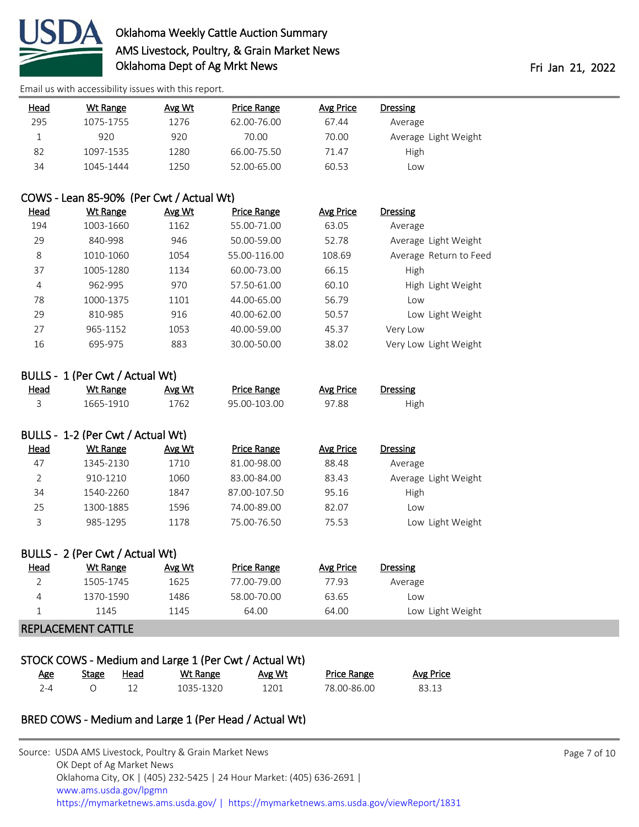

[Email us with accessibility issues with this report.](mailto:mars@ams.usda.gov?subject=508%20issue)

| <u>Head</u> | Wt Range  | Avg Wt | Price Range | Avg Price | Dressing             |
|-------------|-----------|--------|-------------|-----------|----------------------|
| 295         | 1075-1755 | 1276   | 62.00-76.00 | 67.44     | Average              |
|             | 920       | 920    | 70.00       | 70.00     | Average Light Weight |
| 82          | 1097-1535 | 1280   | 66.00-75.50 | 71.47     | High                 |
| 34          | 1045-1444 | 1250   | 52.00-65.00 | 60.53     | Low                  |

### COWS - Lean 85-90% (Per Cwt / Actual Wt)

| <b>Head</b>    | Wt Range  | Avg Wt | <b>Price Range</b> | Avg Price | <b>Dressing</b>        |
|----------------|-----------|--------|--------------------|-----------|------------------------|
| 194            | 1003-1660 | 1162   | 55.00-71.00        | 63.05     | Average                |
| 29             | 840-998   | 946    | 50.00-59.00        | 52.78     | Average Light Weight   |
| 8              | 1010-1060 | 1054   | 55.00-116.00       | 108.69    | Average Return to Feed |
| 37             | 1005-1280 | 1134   | 60.00-73.00        | 66.15     | High                   |
| $\overline{4}$ | 962-995   | 970    | 57.50-61.00        | 60.10     | High Light Weight      |
| 78             | 1000-1375 | 1101   | 44.00-65.00        | 56.79     | Low                    |
| 29             | 810-985   | 916    | 40.00-62.00        | 50.57     | Low Light Weight       |
| 27             | 965-1152  | 1053   | 40.00-59.00        | 45.37     | Very Low               |
| 16             | 695-975   | 883    | 30.00-50.00        | 38.02     | Very Low Light Weight  |

## BULLS - 1 (Per Cwt / Actual Wt)

| Head | Wt Range  | Avg Wt | Price Range  | Avg Price | <b>Dressing</b> |  |
|------|-----------|--------|--------------|-----------|-----------------|--|
|      | 1665-1910 | `762   | 95.00-103.00 | 97.88     | High            |  |

|             | BULLS - 1-2 (Per Cwt / Actual Wt) |        |                    |           |                      |
|-------------|-----------------------------------|--------|--------------------|-----------|----------------------|
| <b>Head</b> | Wt Range                          | Avg Wt | <b>Price Range</b> | Avg Price | <b>Dressing</b>      |
| 47          | 1345-2130                         | 1710   | 81.00-98.00        | 88.48     | Average              |
|             | 910-1210                          | 1060   | 83.00-84.00        | 83.43     | Average Light Weight |
| 34          | 1540-2260                         | 1847   | 87.00-107.50       | 95.16     | High                 |
| 25          | 1300-1885                         | 1596   | 74.00-89.00        | 82.07     | Low                  |
|             | 985-1295                          | 1178   | 75.00-76.50        | 75.53     | Low Light Weight     |

|             | BULLS - 2 (Per Cwt / Actual Wt) |        |             |           |                  |  |  |  |
|-------------|---------------------------------|--------|-------------|-----------|------------------|--|--|--|
| <b>Head</b> | Wt Range                        | Avg Wt | Price Range | Avg Price | <b>Dressing</b>  |  |  |  |
|             | 1505-1745                       | 1625   | 77.00-79.00 | 77.93     | Average          |  |  |  |
|             | 1370-1590                       | 1486   | 58.00-70.00 | 63.65     | Low              |  |  |  |
|             | 1145                            | 1145   | 64.00       | 64.00     | Low Light Weight |  |  |  |
|             | ------------                    |        |             |           |                  |  |  |  |

#### REPLACEMENT CATTLE

| STOCK COWS - Medium and Large 1 (Per Cwt / Actual Wt) |       |      |           |        |             |           |  |
|-------------------------------------------------------|-------|------|-----------|--------|-------------|-----------|--|
| Age                                                   | Stage | Head | Wt Range  | Avg Wt | Price Range | Avg Price |  |
| 7−4                                                   |       |      | 1035-1320 | 1201   | 78.00-86.00 | 83.13     |  |

### BRED COWS - Medium and Large 1 (Per Head / Actual Wt)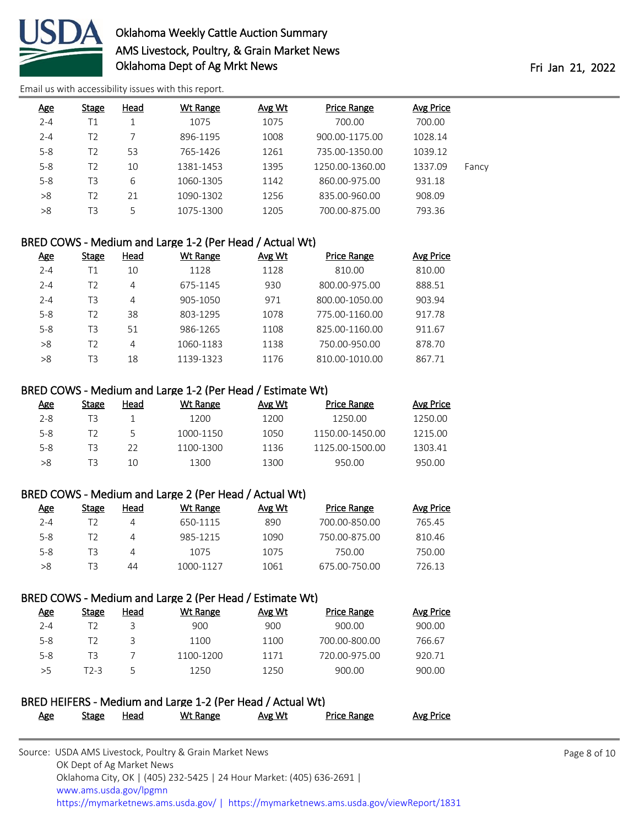

[Email us with accessibility issues with this report.](mailto:mars@ams.usda.gov?subject=508%20issue)

| <u>Age</u> | <b>Stage</b>   | Head | Wt Range  | <b>Avg Wt</b> | <b>Price Range</b> | Avg Price |       |
|------------|----------------|------|-----------|---------------|--------------------|-----------|-------|
| $2 - 4$    | Τ1             |      | 1075      | 1075          | 700.00             | 700.00    |       |
| $2 - 4$    | T2             |      | 896-1195  | 1008          | 900.00-1175.00     | 1028.14   |       |
| $5 - 8$    | T2             | 53   | 765-1426  | 1261          | 735.00-1350.00     | 1039.12   |       |
| $5 - 8$    | T <sub>2</sub> | 10   | 1381-1453 | 1395          | 1250.00-1360.00    | 1337.09   | Fancy |
| $5 - 8$    | T3             | 6    | 1060-1305 | 1142          | 860.00-975.00      | 931.18    |       |
| >8         | T2             | 21   | 1090-1302 | 1256          | 835.00-960.00      | 908.09    |       |
| >8         | T3             | 5    | 1075-1300 | 1205          | 700.00-875.00      | 793.36    |       |

#### BRED COWS - Medium and Large 1-2 (Per Head / Actual Wt)

| <u>Age</u> | <b>Stage</b> | Head           | Wt Range  | Avg Wt | <b>Price Range</b> | Avg Price |
|------------|--------------|----------------|-----------|--------|--------------------|-----------|
| $2 - 4$    | Τ1           | 10             | 1128      | 1128   | 810.00             | 810.00    |
| $2 - 4$    | T2           | 4              | 675-1145  | 930    | 800.00-975.00      | 888.51    |
| $2 - 4$    | T3           | 4              | 905-1050  | 971    | 800.00-1050.00     | 903.94    |
| $5 - 8$    | T2           | 38             | 803-1295  | 1078   | 775.00-1160.00     | 917.78    |
| $5 - 8$    | T3           | 51             | 986-1265  | 1108   | 825.00-1160.00     | 911.67    |
| >8         | T2           | $\overline{4}$ | 1060-1183 | 1138   | 750.00-950.00      | 878.70    |
| >8         | T3           | 18             | 1139-1323 | 1176   | 810.00-1010.00     | 867.71    |

#### BRED COWS - Medium and Large 1-2 (Per Head / Estimate Wt)

| <b>Age</b> | Stage | Head | Wt Range  | Avg Wt | <b>Price Range</b> | <b>Avg Price</b> |
|------------|-------|------|-----------|--------|--------------------|------------------|
| $2 - 8$    | T3    |      | 1200      | 1200   | 1250.00            | 1250.00          |
| $5 - 8$    | 12    | 5    | 1000-1150 | 1050   | 1150.00-1450.00    | 1215.00          |
| $5 - 8$    | ΤЗ    | フフ   | 1100-1300 | 1136   | 1125.00-1500.00    | 1303.41          |
| >8         | ΤЗ    | 10   | 1300      | 1300   | 950.00             | 950.00           |

### BRED COWS - Medium and Large 2 (Per Head / Actual Wt)

| <u>Age</u> | Stage | Head | Wt Range  | Avg Wt | <b>Price Range</b> | Avg Price |
|------------|-------|------|-----------|--------|--------------------|-----------|
| $2 - 4$    | D     | 4    | 650-1115  | 890    | 700.00-850.00      | 765.45    |
| $5 - 8$    | 12    | 4    | 985-1215  | 1090   | 750.00-875.00      | 810.46    |
| $5 - 8$    | TЗ    | 4    | 1075      | 1075   | 750.00             | 750.00    |
| >8         | ΤЗ    | 44   | 1000-1127 | 1061   | 675.00-750.00      | 726.13    |

## BRED COWS - Medium and Large 2 (Per Head / Estimate Wt)

| <u>Age</u> | Stage | Head | Wt Range  | Avg Wt | <b>Price Range</b> | Avg Price |
|------------|-------|------|-----------|--------|--------------------|-----------|
| 2-4        | T2    |      | 900       | 900    | 900.00             | 900.00    |
| $5 - 8$    | D     | ₹    | 1100      | 1100   | 700.00-800.00      | 766.67    |
| $5 - 8$    | TЗ    |      | 1100-1200 | 1171   | 720.00-975.00      | 920.71    |
| >5         | T2-3. | 5.   | 1250.     | 1250   | 900.00             | 900.00    |

### BRED HEIFERS - Medium and Large 1-2 (Per Head / Actual Wt)

| <u>Age</u> | <b>Stage</b> | Head | Wt Range | <u>Avg Wt</u> | <b>Price Range</b> | Avg Price |  |
|------------|--------------|------|----------|---------------|--------------------|-----------|--|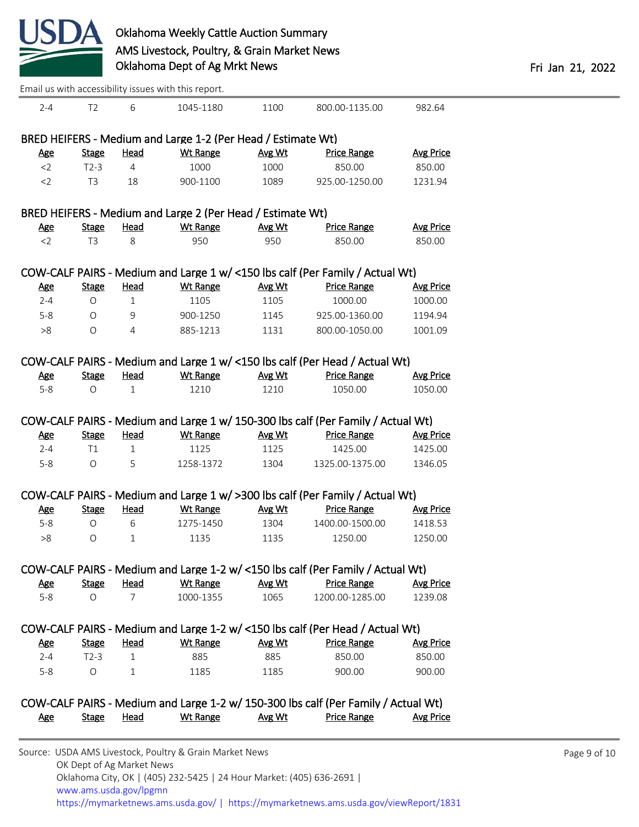

|            |                |                | Email us with accessibility issues with this report.         |        |                                                                                    |                  |
|------------|----------------|----------------|--------------------------------------------------------------|--------|------------------------------------------------------------------------------------|------------------|
| $2 - 4$    | T <sub>2</sub> | 6              | 1045-1180                                                    | 1100   | 800.00-1135.00                                                                     | 982.64           |
|            |                |                | BRED HEIFERS - Medium and Large 1-2 (Per Head / Estimate Wt) |        |                                                                                    |                  |
| <u>Age</u> | <b>Stage</b>   | <b>Head</b>    | <b>Wt Range</b>                                              | Avg Wt | <b>Price Range</b>                                                                 | <b>Avg Price</b> |
| $<$ 2      | $T2-3$         | $\overline{4}$ | 1000                                                         | 1000   | 850.00                                                                             | 850.00           |
| $<$ 2      | T <sub>3</sub> | 18             | 900-1100                                                     | 1089   | 925.00-1250.00                                                                     | 1231.94          |
|            |                |                | BRED HEIFERS - Medium and Large 2 (Per Head / Estimate Wt)   |        |                                                                                    |                  |
| <u>Age</u> | <b>Stage</b>   | <b>Head</b>    | <b>Wt Range</b>                                              | Avg Wt | <b>Price Range</b>                                                                 | <b>Avg Price</b> |
| $<$ 2      | T <sub>3</sub> | 8              | 950                                                          | 950    | 850.00                                                                             | 850.00           |
|            |                |                |                                                              |        | COW-CALF PAIRS - Medium and Large 1 w/ <150 lbs calf (Per Family / Actual Wt)      |                  |
| <b>Age</b> | <b>Stage</b>   | <b>Head</b>    | <b>Wt Range</b>                                              | Avg Wt | <b>Price Range</b>                                                                 | <b>Avg Price</b> |
| $2 - 4$    | $\circ$        | $\mathbf{1}$   | 1105                                                         | 1105   | 1000.00                                                                            | 1000.00          |
| $5 - 8$    | O              | 9              | 900-1250                                                     | 1145   | 925.00-1360.00                                                                     | 1194.94          |
| >8         | $\circ$        | $\overline{4}$ | 885-1213                                                     | 1131   | 800.00-1050.00                                                                     | 1001.09          |
|            |                |                |                                                              |        | COW-CALF PAIRS - Medium and Large 1 w/ <150 lbs calf (Per Head / Actual Wt)        |                  |
| <u>Age</u> | <b>Stage</b>   | <b>Head</b>    | <b>Wt Range</b>                                              | Avg Wt | <b>Price Range</b>                                                                 | <b>Avg Price</b> |
| $5 - 8$    | $\circ$        | $\mathbf{1}$   | 1210                                                         | 1210   | 1050.00                                                                            | 1050.00          |
|            |                |                |                                                              |        | COW-CALF PAIRS - Medium and Large 1 w/ 150-300 lbs calf (Per Family / Actual Wt)   |                  |
| <b>Age</b> | <b>Stage</b>   | <b>Head</b>    | <b>Wt Range</b>                                              | Avg Wt | <b>Price Range</b>                                                                 | <b>Avg Price</b> |
| $2 - 4$    | Τ1             | $1\,$          | 1125                                                         | 1125   | 1425.00                                                                            | 1425.00          |
| $5 - 8$    | $\circ$        | 5              | 1258-1372                                                    | 1304   | 1325.00-1375.00                                                                    | 1346.05          |
|            |                |                |                                                              |        | COW-CALF PAIRS - Medium and Large 1 w/ >300 lbs calf (Per Family / Actual Wt)      |                  |
| <b>Age</b> | <b>Stage</b>   | <b>Head</b>    | <b>Wt Range</b>                                              | Avg Wt | <b>Price Range</b>                                                                 | <b>Avg Price</b> |
| $5 - 8$    | $\circ$        | 6              | 1275-1450                                                    | 1304   | 1400.00-1500.00                                                                    | 1418.53          |
| >8         | $\circ$        | $\mathbf{1}$   | 1135                                                         | 1135   | 1250.00                                                                            | 1250.00          |
|            |                |                |                                                              |        | COW-CALF PAIRS - Medium and Large 1-2 w/ <150 lbs calf (Per Family / Actual Wt)    |                  |
| <u>Age</u> | <b>Stage</b>   | <b>Head</b>    | Wt Range                                                     | Avg Wt | <b>Price Range</b>                                                                 | <b>Avg Price</b> |
| $5 - 8$    | $\circ$        | 7              | 1000-1355                                                    | 1065   | 1200.00-1285.00                                                                    | 1239.08          |
|            |                |                |                                                              |        | COW-CALF PAIRS - Medium and Large 1-2 w/ <150 lbs calf (Per Head / Actual Wt)      |                  |
| <u>Age</u> | <b>Stage</b>   | <u>Head</u>    | <b>Wt Range</b>                                              | Avg Wt | <b>Price Range</b>                                                                 | <b>Avg Price</b> |
| $2 - 4$    | $T2-3$         | $\mathbf{1}$   | 885                                                          | 885    | 850.00                                                                             | 850.00           |
| $5 - 8$    | $\circ$        | 1              | 1185                                                         | 1185   | 900.00                                                                             | 900.00           |
|            |                |                |                                                              |        | COW-CALF PAIRS - Medium and Large 1-2 w/ 150-300 lbs calf (Per Family / Actual Wt) |                  |
| <u>Age</u> | <b>Stage</b>   | <b>Head</b>    | <b>Wt Range</b>                                              | Avg Wt | <b>Price Range</b>                                                                 | <b>Avg Price</b> |